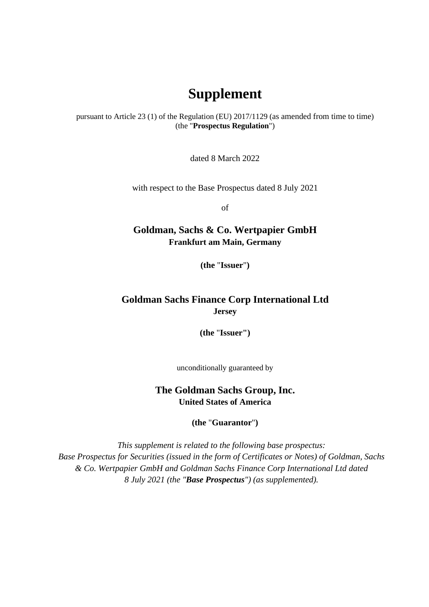## **Supplement**

pursuant to Article 23 (1) of the Regulation (EU) 2017/1129 (as amended from time to time) (the "**Prospectus Regulation**")

dated 8 March 2022

with respect to the Base Prospectus dated 8 July 2021

of

## **Goldman, Sachs & Co. Wertpapier GmbH Frankfurt am Main, Germany**

**(the** "**Issuer**"**)** 

## **Goldman Sachs Finance Corp International Ltd Jersey**

**(the** "**Issuer")** 

unconditionally guaranteed by

**The Goldman Sachs Group, Inc. United States of America** 

**(the** "**Guarantor**"**)** 

*This supplement is related to the following base prospectus: Base Prospectus for Securities (issued in the form of Certificates or Notes) of Goldman, Sachs & Co. Wertpapier GmbH and Goldman Sachs Finance Corp International Ltd dated 8 July 2021 (the "Base Prospectus") (as supplemented).*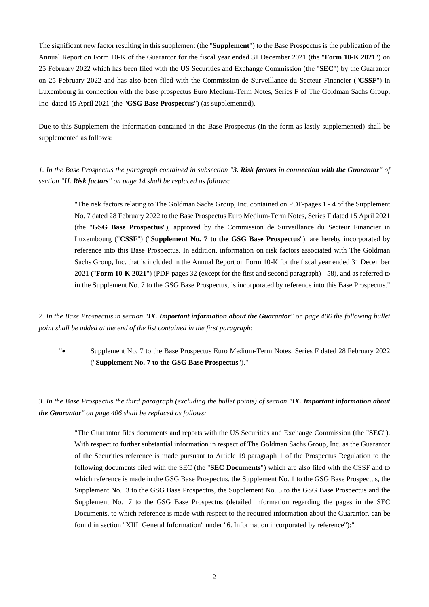The significant new factor resulting in this supplement (the "**Supplement**") to the Base Prospectus is the publication of the Annual Report on Form 10-K of the Guarantor for the fiscal year ended 31 December 2021 (the "**Form 10-K 2021**") on 25 February 2022 which has been filed with the US Securities and Exchange Commission (the "**SEC**") by the Guarantor on 25 February 2022 and has also been filed with the Commission de Surveillance du Secteur Financier ("**CSSF**") in Luxembourg in connection with the base prospectus Euro Medium-Term Notes, Series F of The Goldman Sachs Group, Inc. dated 15 April 2021 (the "**GSG Base Prospectus**") (as supplemented).

Due to this Supplement the information contained in the Base Prospectus (in the form as lastly supplemented) shall be supplemented as follows:

*1. In the Base Prospectus the paragraph contained in subsection "3. Risk factors in connection with the Guarantor" of section "II. Risk factors" on page 14 shall be replaced as follows:* 

> "The risk factors relating to The Goldman Sachs Group, Inc. contained on PDF-pages 1 - 4 of the Supplement No. 7 dated 28 February 2022 to the Base Prospectus Euro Medium-Term Notes, Series F dated 15 April 2021 (the "**GSG Base Prospectus**"), approved by the Commission de Surveillance du Secteur Financier in Luxembourg ("**CSSF**") ("**Supplement No. 7 to the GSG Base Prospectus**"), are hereby incorporated by reference into this Base Prospectus. In addition, information on risk factors associated with The Goldman Sachs Group, Inc. that is included in the Annual Report on Form 10-K for the fiscal year ended 31 December 2021 ("**Form 10-K 2021**") (PDF-pages 32 (except for the first and second paragraph) - 58), and as referred to in the Supplement No. 7 to the GSG Base Prospectus, is incorporated by reference into this Base Prospectus."

*2. In the Base Prospectus in section "IX. Important information about the Guarantor" on page 406 the following bullet point shall be added at the end of the list contained in the first paragraph:* 

". Supplement No. 7 to the Base Prospectus Euro Medium-Term Notes, Series F dated 28 February 2022 ("**Supplement No. 7 to the GSG Base Prospectus**")."

*3. In the Base Prospectus the third paragraph (excluding the bullet points) of section "IX. Important information about the Guarantor" on page 406 shall be replaced as follows:* 

> "The Guarantor files documents and reports with the US Securities and Exchange Commission (the "**SEC**"). With respect to further substantial information in respect of The Goldman Sachs Group, Inc. as the Guarantor of the Securities reference is made pursuant to Article 19 paragraph 1 of the Prospectus Regulation to the following documents filed with the SEC (the "**SEC Documents**") which are also filed with the CSSF and to which reference is made in the GSG Base Prospectus, the Supplement No. 1 to the GSG Base Prospectus, the Supplement No. 3 to the GSG Base Prospectus, the Supplement No. 5 to the GSG Base Prospectus and the Supplement No. 7 to the GSG Base Prospectus (detailed information regarding the pages in the SEC Documents, to which reference is made with respect to the required information about the Guarantor, can be found in section "XIII. General Information" under "6. Information incorporated by reference"):"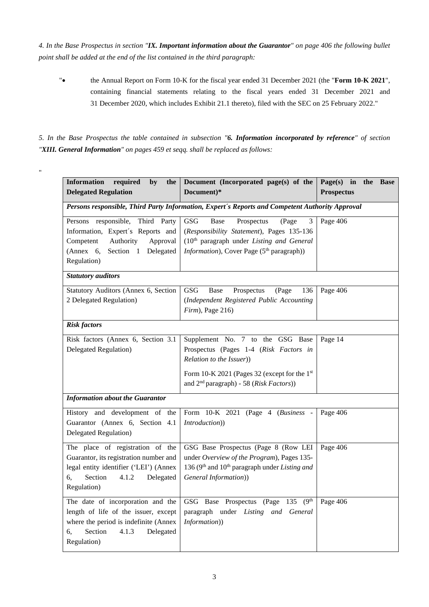*4. In the Base Prospectus in section "IX. Important information about the Guarantor" on page 406 the following bullet point shall be added at the end of the list contained in the third paragraph:* 

" the Annual Report on Form 10-K for the fiscal year ended 31 December 2021 (the "Form 10-K 2021", containing financial statements relating to the fiscal years ended 31 December 2021 and 31 December 2020, which includes Exhibit 21.1 thereto), filed with the SEC on 25 February 2022."

*5. In the Base Prospectus the table contained in subsection "6. Information incorporated by reference" of section "XIII. General Information" on pages 459 et seqq. shall be replaced as follows:* 

"

| <b>Information</b><br>required<br>by<br>the                                                     | Document (Incorporated page(s) of the                                 | Page(s) in<br>the<br><b>Base</b> |  |
|-------------------------------------------------------------------------------------------------|-----------------------------------------------------------------------|----------------------------------|--|
| <b>Delegated Regulation</b>                                                                     | Document)*                                                            | <b>Prospectus</b>                |  |
| Persons responsible, Third Party Information, Expert's Reports and Competent Authority Approval |                                                                       |                                  |  |
| Persons responsible,<br>Third Party                                                             | <b>GSG</b><br>Prospectus<br>(Page<br><b>Base</b><br>3                 | Page 406                         |  |
| Information, Expert's Reports and                                                               | (Responsibility Statement), Pages 135-136                             |                                  |  |
| Authority<br>Approval<br>Competent                                                              | (10 <sup>th</sup> paragraph under Listing and General                 |                                  |  |
| (Annex 6,<br>Section 1 Delegated                                                                | Information), Cover Page (5 <sup>th</sup> paragraph))                 |                                  |  |
| Regulation)                                                                                     |                                                                       |                                  |  |
| <b>Statutory auditors</b>                                                                       |                                                                       |                                  |  |
| Statutory Auditors (Annex 6, Section                                                            | <b>GSG</b><br>Prospectus<br>(Page<br>Base<br>136                      | Page 406                         |  |
| 2 Delegated Regulation)                                                                         | (Independent Registered Public Accounting                             |                                  |  |
|                                                                                                 | $Firm$ , Page 216)                                                    |                                  |  |
| <b>Risk factors</b>                                                                             |                                                                       |                                  |  |
| Risk factors (Annex 6, Section 3.1)                                                             | Supplement No. 7 to the GSG Base                                      | Page 14                          |  |
| Delegated Regulation)                                                                           | Prospectus (Pages 1-4 (Risk Factors in                                |                                  |  |
|                                                                                                 | Relation to the Issuer))                                              |                                  |  |
|                                                                                                 | Form 10-K 2021 (Pages 32 (except for the 1st                          |                                  |  |
|                                                                                                 | and 2 <sup>nd</sup> paragraph) - 58 (Risk Factors))                   |                                  |  |
| <b>Information about the Guarantor</b>                                                          |                                                                       |                                  |  |
| History and development of the                                                                  | Form 10-K 2021 (Page 4 (Business -                                    | Page 406                         |  |
| Guarantor (Annex 6, Section 4.1)                                                                | Introduction))                                                        |                                  |  |
| Delegated Regulation)                                                                           |                                                                       |                                  |  |
| The place of registration of the                                                                | GSG Base Prospectus (Page 8 (Row LEI                                  | Page 406                         |  |
| Guarantor, its registration number and                                                          | under Overview of the Program), Pages 135-                            |                                  |  |
| legal entity identifier ('LEI') (Annex                                                          | 136 (9 <sup>th</sup> and 10 <sup>th</sup> paragraph under Listing and |                                  |  |
| Section<br>4.1.2<br>Delegated<br>6,                                                             | General Information))                                                 |                                  |  |
| Regulation)                                                                                     |                                                                       |                                  |  |
| The date of incorporation and the                                                               | (9 <sup>th</sup> )<br>GSG Base Prospectus (Page<br>135                | Page 406                         |  |
| length of life of the issuer, except                                                            | paragraph under Listing and General                                   |                                  |  |
| Information))<br>where the period is indefinite (Annex                                          |                                                                       |                                  |  |
| Section<br>4.1.3<br>Delegated<br>6,                                                             |                                                                       |                                  |  |
| Regulation)                                                                                     |                                                                       |                                  |  |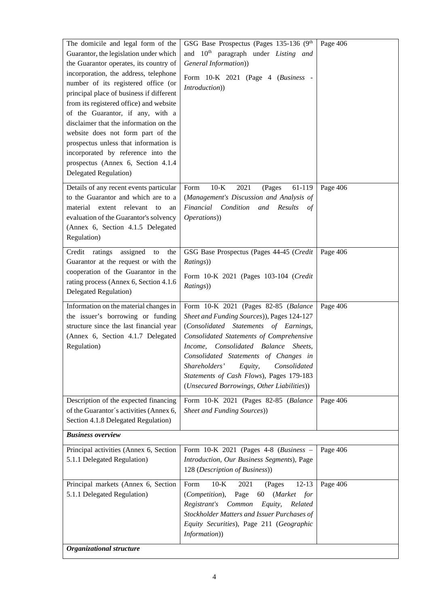| The domicile and legal form of the<br>Guarantor, the legislation under which<br>the Guarantor operates, its country of<br>incorporation, the address, telephone<br>number of its registered office (or<br>principal place of business if different<br>from its registered office) and website<br>of the Guarantor, if any, with a<br>disclaimer that the information on the<br>website does not form part of the<br>prospectus unless that information is<br>incorporated by reference into the<br>prospectus (Annex 6, Section 4.1.4<br>Delegated Regulation) | GSG Base Prospectus (Pages 135-136 (9th<br>and 10 <sup>th</sup> paragraph under Listing and<br>General Information))<br>Form 10-K 2021 (Page 4 (Business -<br>Introduction))                                                                                                                                                                                                                         | Page 406 |  |  |
|----------------------------------------------------------------------------------------------------------------------------------------------------------------------------------------------------------------------------------------------------------------------------------------------------------------------------------------------------------------------------------------------------------------------------------------------------------------------------------------------------------------------------------------------------------------|------------------------------------------------------------------------------------------------------------------------------------------------------------------------------------------------------------------------------------------------------------------------------------------------------------------------------------------------------------------------------------------------------|----------|--|--|
| Details of any recent events particular<br>to the Guarantor and which are to a<br>material extent relevant to<br>an<br>evaluation of the Guarantor's solvency<br>(Annex 6, Section 4.1.5 Delegated<br>Regulation)                                                                                                                                                                                                                                                                                                                                              | $10-K$<br>2021<br>61-119<br>Form<br>(Pages<br>(Management's Discussion and Analysis of<br>Financial Condition and<br>Results<br>of<br>Operations))                                                                                                                                                                                                                                                   | Page 406 |  |  |
| Credit ratings assigned to<br>the<br>Guarantor at the request or with the<br>cooperation of the Guarantor in the<br>rating process (Annex 6, Section 4.1.6)<br>Delegated Regulation)                                                                                                                                                                                                                                                                                                                                                                           | GSG Base Prospectus (Pages 44-45 (Credit<br>Ratings))<br>Form 10-K 2021 (Pages 103-104 (Credit<br>Ratings))                                                                                                                                                                                                                                                                                          | Page 406 |  |  |
| Information on the material changes in<br>the issuer's borrowing or funding<br>structure since the last financial year<br>(Annex 6, Section 4.1.7 Delegated<br>Regulation)                                                                                                                                                                                                                                                                                                                                                                                     | Form 10-K 2021 (Pages 82-85 (Balance<br>Sheet and Funding Sources)), Pages 124-127<br>(Consolidated Statements of Earnings,<br>Consolidated Statements of Comprehensive<br>Consolidated Balance<br>Sheets,<br>Income,<br>Consolidated Statements of Changes in<br>Shareholders'<br>Equity,<br>Consolidated<br>Statements of Cash Flows), Pages 179-183<br>(Unsecured Borrowings, Other Liabilities)) | Page 406 |  |  |
| Description of the expected financing<br>of the Guarantor's activities (Annex 6,<br>Section 4.1.8 Delegated Regulation)                                                                                                                                                                                                                                                                                                                                                                                                                                        | Form 10-K 2021 (Pages 82-85 (Balance<br><b>Sheet and Funding Sources)</b>                                                                                                                                                                                                                                                                                                                            | Page 406 |  |  |
| <b>Business overview</b>                                                                                                                                                                                                                                                                                                                                                                                                                                                                                                                                       |                                                                                                                                                                                                                                                                                                                                                                                                      |          |  |  |
| Principal activities (Annex 6, Section<br>5.1.1 Delegated Regulation)                                                                                                                                                                                                                                                                                                                                                                                                                                                                                          | Form $10-K$ 2021 (Pages 4-8 (Business -<br>Introduction, Our Business Segments), Page<br>128 (Description of Business))                                                                                                                                                                                                                                                                              | Page 406 |  |  |
| Principal markets (Annex 6, Section<br>5.1.1 Delegated Regulation)                                                                                                                                                                                                                                                                                                                                                                                                                                                                                             | $10-K$<br>2021<br>$12 - 13$<br>Form<br>(Pages<br>(Competition),<br>Page<br>60<br>(Market<br>for<br>Registrant's<br>Common<br>Equity,<br>Related<br>Stockholder Matters and Issuer Purchases of<br>Equity Securities), Page 211 (Geographic<br>Information))                                                                                                                                          | Page 406 |  |  |
| Organizational structure                                                                                                                                                                                                                                                                                                                                                                                                                                                                                                                                       |                                                                                                                                                                                                                                                                                                                                                                                                      |          |  |  |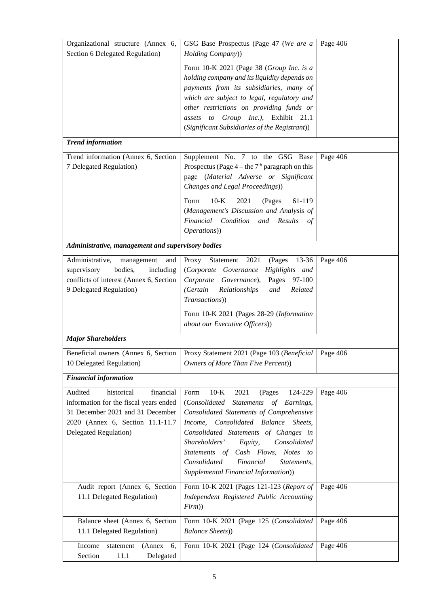| Organizational structure (Annex 6,<br>Section 6 Delegated Regulation)                                                                                                          | GSG Base Prospectus (Page 47 (We are a<br>Holding Company))                                                                                                                                                                                                                                                                                                                                         | Page 406 |
|--------------------------------------------------------------------------------------------------------------------------------------------------------------------------------|-----------------------------------------------------------------------------------------------------------------------------------------------------------------------------------------------------------------------------------------------------------------------------------------------------------------------------------------------------------------------------------------------------|----------|
|                                                                                                                                                                                | Form 10-K 2021 (Page 38 (Group Inc. is a<br>holding company and its liquidity depends on<br>payments from its subsidiaries, many of<br>which are subject to legal, regulatory and<br>other restrictions on providing funds or<br>assets to Group Inc.), Exhibit 21.1<br>(Significant Subsidiaries of the Registrant))                                                                               |          |
| <b>Trend information</b>                                                                                                                                                       |                                                                                                                                                                                                                                                                                                                                                                                                     |          |
| Trend information (Annex 6, Section<br>7 Delegated Regulation)                                                                                                                 | Supplement No. 7 to the GSG Base<br>Prospectus (Page $4$ – the $7th$ paragraph on this<br>page (Material Adverse or Significant<br>Changes and Legal Proceedings))                                                                                                                                                                                                                                  | Page 406 |
|                                                                                                                                                                                | $10-K$<br>Form<br>2021<br>(Pages<br>61-119<br>(Management's Discussion and Analysis of<br>Financial<br>Condition<br>and Results<br>οf<br>Operations))                                                                                                                                                                                                                                               |          |
| Administrative, management and supervisory bodies                                                                                                                              |                                                                                                                                                                                                                                                                                                                                                                                                     |          |
| Administrative,<br>and<br>management<br>supervisory<br>bodies,<br>including<br>conflicts of interest (Annex 6, Section<br>9 Delegated Regulation)                              | Statement<br>2021<br>Proxy<br>(Pages<br>$13 - 36$<br>(Corporate Governance Highlights and<br>Corporate Governance),<br>Pages 97-100<br>(Certain<br>Relationships<br>Related<br>and<br>Transactions))<br>Form 10-K 2021 (Pages 28-29 (Information                                                                                                                                                    | Page 406 |
| <b>Major Shareholders</b>                                                                                                                                                      | about our Executive Officers))                                                                                                                                                                                                                                                                                                                                                                      |          |
|                                                                                                                                                                                | Proxy Statement 2021 (Page 103 (Beneficial                                                                                                                                                                                                                                                                                                                                                          | Page 406 |
| Beneficial owners (Annex 6, Section<br>10 Delegated Regulation)                                                                                                                | Owners of More Than Five Percent))                                                                                                                                                                                                                                                                                                                                                                  |          |
| <b>Financial information</b>                                                                                                                                                   |                                                                                                                                                                                                                                                                                                                                                                                                     |          |
| Audited<br>historical<br>financial<br>information for the fiscal years ended<br>31 December 2021 and 31 December<br>2020 (Annex 6, Section 11.1-11.7)<br>Delegated Regulation) | Form<br>$10-K$<br>2021<br>(Pages<br>124-229<br>(Consolidated<br>Statements of Earnings,<br>Consolidated Statements of Comprehensive<br>Income, Consolidated Balance<br>Sheets,<br>Consolidated Statements of Changes in<br>Shareholders'<br>Consolidated<br>Equity,<br>Cash Flows,<br>Notes to<br>Statements of<br>Consolidated<br>Financial<br>Statements,<br>Supplemental Financial Information)) | Page 406 |
| Audit report (Annex 6, Section<br>11.1 Delegated Regulation)                                                                                                                   | Form 10-K 2021 (Pages 121-123 (Report of<br>Independent Registered Public Accounting<br>Firm)                                                                                                                                                                                                                                                                                                       | Page 406 |
| Balance sheet (Annex 6, Section<br>11.1 Delegated Regulation)                                                                                                                  | Form 10-K 2021 (Page 125 (Consolidated<br><b>Balance Sheets)</b>                                                                                                                                                                                                                                                                                                                                    | Page 406 |
| Income<br>statement<br>(Annex<br>6,<br>Delegated<br>Section<br>11.1                                                                                                            | Form 10-K 2021 (Page 124 (Consolidated                                                                                                                                                                                                                                                                                                                                                              | Page 406 |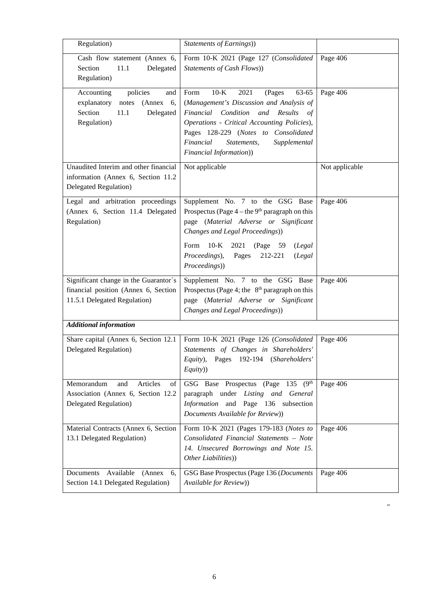| Regulation)                                                                                                       | Statements of Earnings))                                                                                                                                                                                                                                                                     |                |
|-------------------------------------------------------------------------------------------------------------------|----------------------------------------------------------------------------------------------------------------------------------------------------------------------------------------------------------------------------------------------------------------------------------------------|----------------|
| Cash flow statement (Annex 6,<br>Section<br>11.1<br>Delegated<br>Regulation)                                      | Form 10-K 2021 (Page 127 (Consolidated<br><b>Statements of Cash Flows))</b>                                                                                                                                                                                                                  | Page 406       |
| policies<br>Accounting<br>and<br>explanatory<br>(Annex 6,<br>notes<br>Section<br>11.1<br>Delegated<br>Regulation) | 63-65<br>Form<br>$10-K$<br>2021<br>(Pages<br>(Management's Discussion and Analysis of<br>Financial Condition and Results<br>of<br>Operations - Critical Accounting Policies),<br>Pages 128-229 (Notes to Consolidated<br>Financial<br>Statements,<br>Supplemental<br>Financial Information)) | Page 406       |
| Unaudited Interim and other financial<br>information (Annex 6, Section 11.2<br><b>Delegated Regulation</b> )      | Not applicable                                                                                                                                                                                                                                                                               | Not applicable |
| Legal and arbitration proceedings<br>(Annex 6, Section 11.4 Delegated<br>Regulation)                              | Supplement No. 7 to the GSG Base<br>Prospectus (Page $4$ – the 9 <sup>th</sup> paragraph on this<br>page (Material Adverse or Significant<br>Changes and Legal Proceedings))<br>Form 10-K<br>2021<br>(Page 59<br>(Legal<br>Proceedings),<br>212-221<br>Pages<br>(Legal                       | Page 406       |
|                                                                                                                   | Proceedings))                                                                                                                                                                                                                                                                                |                |
| Significant change in the Guarantor's<br>financial position (Annex 6, Section<br>11.5.1 Delegated Regulation)     | Supplement No. 7 to the GSG Base<br>Prospectus (Page 4; the $8th$ paragraph on this<br>page (Material Adverse or Significant<br>Changes and Legal Proceedings))                                                                                                                              | Page 406       |
| <b>Additional information</b>                                                                                     |                                                                                                                                                                                                                                                                                              |                |
| Share capital (Annex 6, Section 12.1<br><b>Delegated Regulation</b> )                                             | Form 10-K 2021 (Page 126 (Consolidated<br>Statements of Changes in Shareholders'<br>Equity), Pages 192-194 (Shareholders'<br>Equity))                                                                                                                                                        | Page 406       |
| Memorandum<br>Articles<br>and<br>of<br>Association (Annex 6, Section 12.2<br><b>Delegated Regulation</b> )        | 135<br>(9 <sup>th</sup> )<br>GSG Base Prospectus (Page<br>paragraph under Listing and General<br>Information and Page 136 subsection<br>Documents Available for Review))                                                                                                                     | Page 406       |
| Material Contracts (Annex 6, Section<br>13.1 Delegated Regulation)                                                | Form 10-K 2021 (Pages 179-183 (Notes to<br>Consolidated Financial Statements - Note<br>14. Unsecured Borrowings and Note 15.<br>Other Liabilities))                                                                                                                                          | Page 406       |
| Available<br>Documents<br>(Annex)<br>6.<br>Section 14.1 Delegated Regulation)                                     | GSG Base Prospectus (Page 136 (Documents<br>Available for Review))                                                                                                                                                                                                                           | Page 406       |

"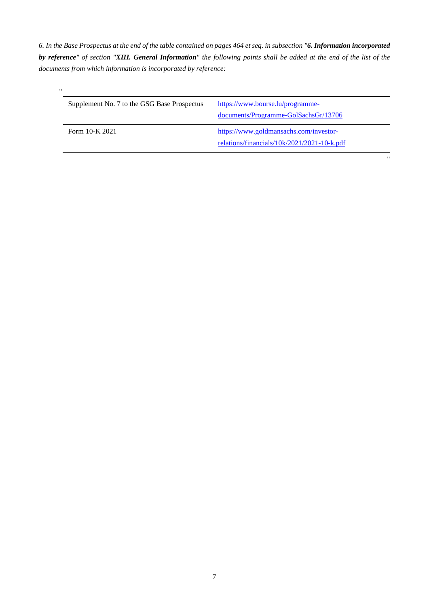*6. In the Base Prospectus at the end of the table contained on pages 464 et seq. in subsection "6. Information incorporated by reference" of section "XIII. General Information" the following points shall be added at the end of the list of the documents from which information is incorporated by reference:* 

| $^{\prime\prime}$ |                                             |                                             |
|-------------------|---------------------------------------------|---------------------------------------------|
|                   | Supplement No. 7 to the GSG Base Prospectus | https://www.bourse.lu/programme-            |
|                   |                                             | documents/Programme-GolSachsGr/13706        |
|                   | Form 10-K 2021                              | https://www.goldmansachs.com/investor-      |
|                   |                                             | relations/financials/10k/2021/2021-10-k.pdf |

"